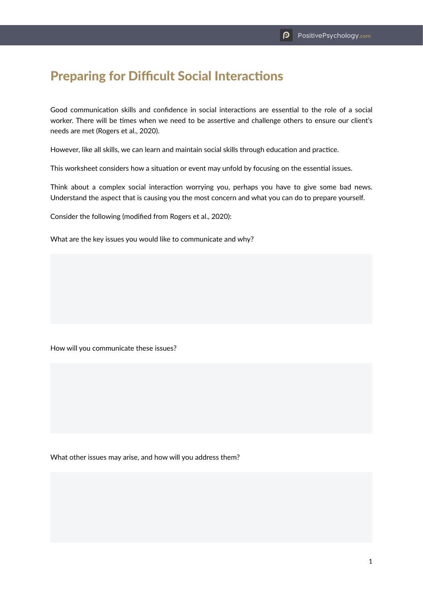## Preparing for Difficult Social Interactions

Good communication skills and confidence in social interactions are essential to the role of a social worker. There will be times when we need to be assertive and challenge others to ensure our client's needs are met (Rogers et al., 2020).

However, like all skills, we can learn and maintain social skills through education and practice.

This worksheet considers how a situation or event may unfold by focusing on the essential issues.

Think about a complex social interaction worrying you, perhaps you have to give some bad news. Understand the aspect that is causing you the most concern and what you can do to prepare yourself.

Consider the following (modified from Rogers et al., 2020):

What are the key issues you would like to communicate and why?

How will you communicate these issues?

What other issues may arise, and how will you address them?